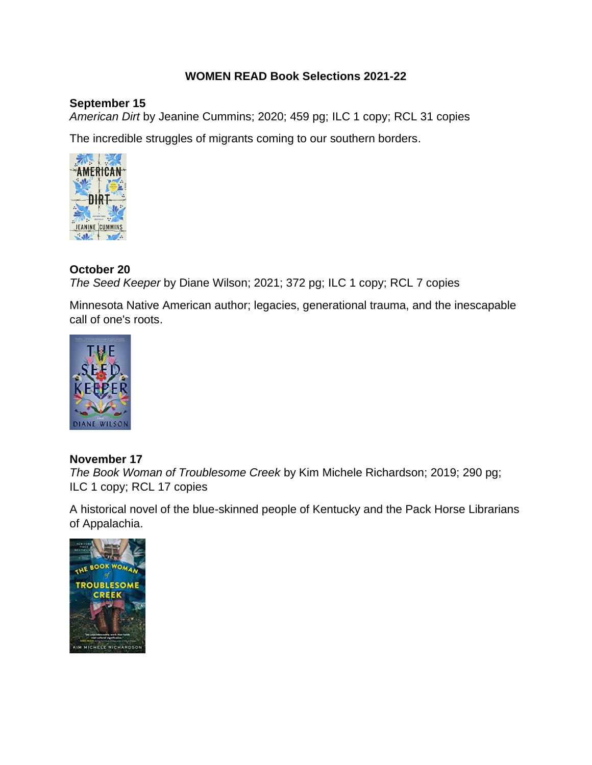## **WOMEN READ Book Selections 2021-22**

#### **September 15**

*American Dirt* by Jeanine Cummins; 2020; 459 pg; ILC 1 copy; RCL 31 copies

The incredible struggles of migrants coming to our southern borders.



## **October 20**

*The Seed Keeper* by Diane Wilson; 2021; 372 pg; ILC 1 copy; RCL 7 copies

Minnesota Native American author; legacies, generational trauma, and the inescapable call of one's roots.



## **November 17**

*The Book Woman of Troublesome Creek* by Kim Michele Richardson; 2019; 290 pg; ILC 1 copy; RCL 17 copies

A historical novel of the blue-skinned people of Kentucky and the Pack Horse Librarians of Appalachia.

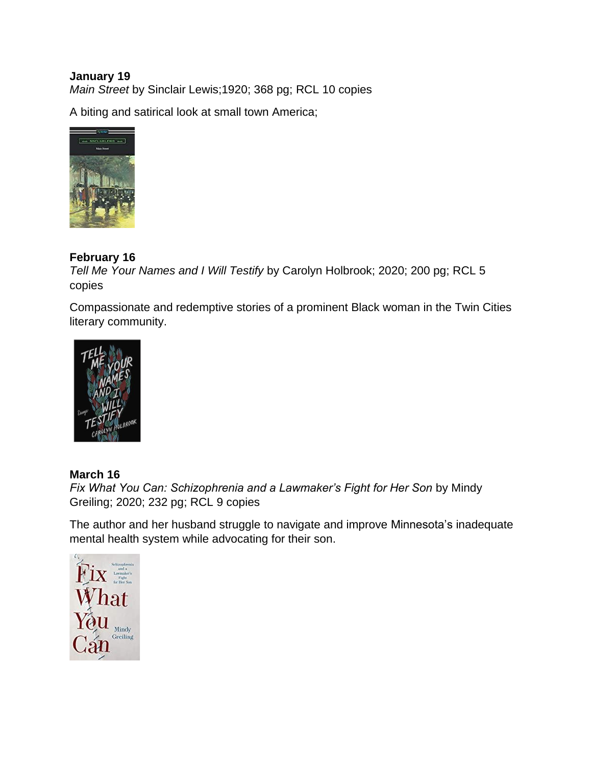#### **January 19** *Main Street* by Sinclair Lewis;1920; 368 pg; RCL 10 copies

A biting and satirical look at small town America;



# **February 16**

*Tell Me Your Names and I Will Testify* by Carolyn Holbrook; 2020; 200 pg; RCL 5 copies

Compassionate and redemptive stories of a prominent Black woman in the Twin Cities literary community.



# **March 16**

*Fix What You Can: Schizophrenia and a Lawmaker's Fight for Her Son* by Mindy Greiling; 2020; 232 pg; RCL 9 copies

The author and her husband struggle to navigate and improve Minnesota's inadequate mental health system while advocating for their son.